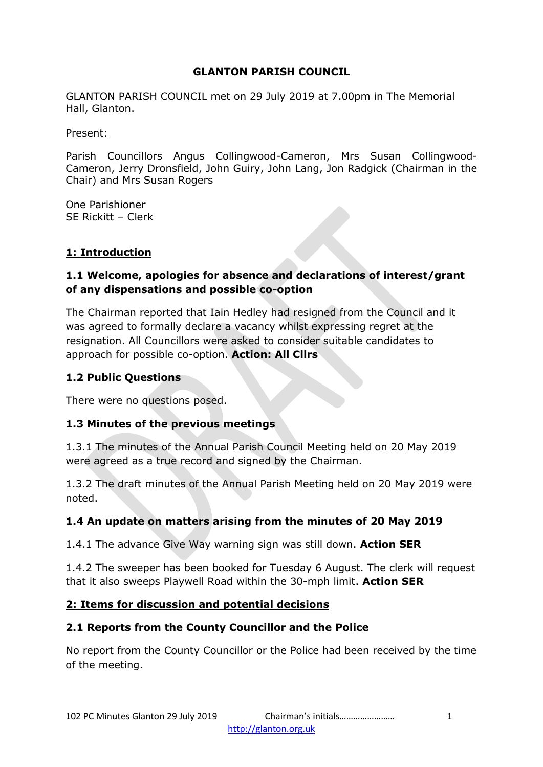#### **GLANTON PARISH COUNCIL**

GLANTON PARISH COUNCIL met on 29 July 2019 at 7.00pm in The Memorial Hall, Glanton.

Present:

Parish Councillors Angus Collingwood-Cameron, Mrs Susan Collingwood-Cameron, Jerry Dronsfield, John Guiry, John Lang, Jon Radgick (Chairman in the Chair) and Mrs Susan Rogers

One Parishioner SE Rickitt – Clerk

### **1: Introduction**

#### **1.1 Welcome, apologies for absence and declarations of interest/grant of any dispensations and possible co-option**

The Chairman reported that Iain Hedley had resigned from the Council and it was agreed to formally declare a vacancy whilst expressing regret at the resignation. All Councillors were asked to consider suitable candidates to approach for possible co-option. **Action: All Cllrs**

### **1.2 Public Questions**

There were no questions posed.

# **1.3 Minutes of the previous meetings**

1.3.1 The minutes of the Annual Parish Council Meeting held on 20 May 2019 were agreed as a true record and signed by the Chairman.

1.3.2 The draft minutes of the Annual Parish Meeting held on 20 May 2019 were noted.

# **1.4 An update on matters arising from the minutes of 20 May 2019**

1.4.1 The advance Give Way warning sign was still down. **Action SER** 

1.4.2 The sweeper has been booked for Tuesday 6 August. The clerk will request that it also sweeps Playwell Road within the 30-mph limit. **Action SER**

# **2: Items for discussion and potential decisions**

# **2.1 Reports from the County Councillor and the Police**

No report from the County Councillor or the Police had been received by the time of the meeting.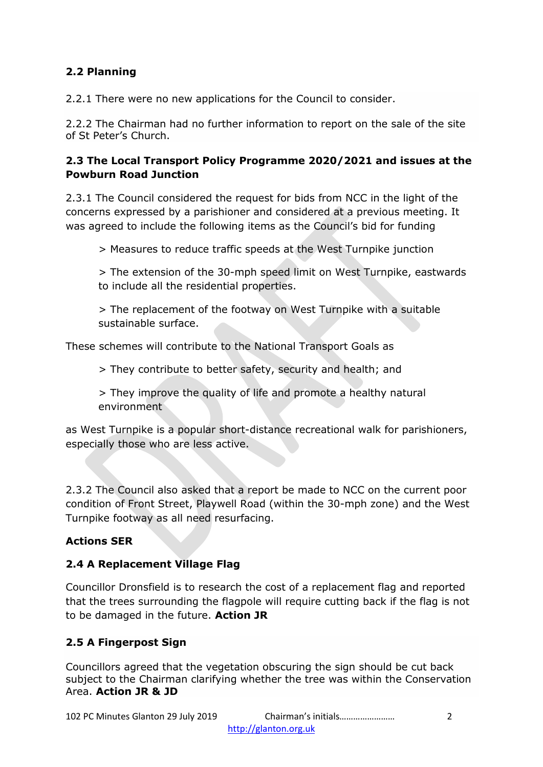# **2.2 Planning**

2.2.1 There were no new applications for the Council to consider.

2.2.2 The Chairman had no further information to report on the sale of the site of St Peter's Church.

### **2.3 The Local Transport Policy Programme 2020/2021 and issues at the Powburn Road Junction**

2.3.1 The Council considered the request for bids from NCC in the light of the concerns expressed by a parishioner and considered at a previous meeting. It was agreed to include the following items as the Council's bid for funding

> Measures to reduce traffic speeds at the West Turnpike junction

> The extension of the 30-mph speed limit on West Turnpike, eastwards to include all the residential properties.

> The replacement of the footway on West Turnpike with a suitable sustainable surface.

These schemes will contribute to the National Transport Goals as

> They contribute to better safety, security and health; and

> They improve the quality of life and promote a healthy natural environment

as West Turnpike is a popular short-distance recreational walk for parishioners, especially those who are less active.

2.3.2 The Council also asked that a report be made to NCC on the current poor condition of Front Street, Playwell Road (within the 30-mph zone) and the West Turnpike footway as all need resurfacing.

# **Actions SER**

#### **2.4 A Replacement Village Flag**

Councillor Dronsfield is to research the cost of a replacement flag and reported that the trees surrounding the flagpole will require cutting back if the flag is not to be damaged in the future. **Action JR**

#### **2.5 A Fingerpost Sign**

Councillors agreed that the vegetation obscuring the sign should be cut back subject to the Chairman clarifying whether the tree was within the Conservation Area. **Action JR & JD**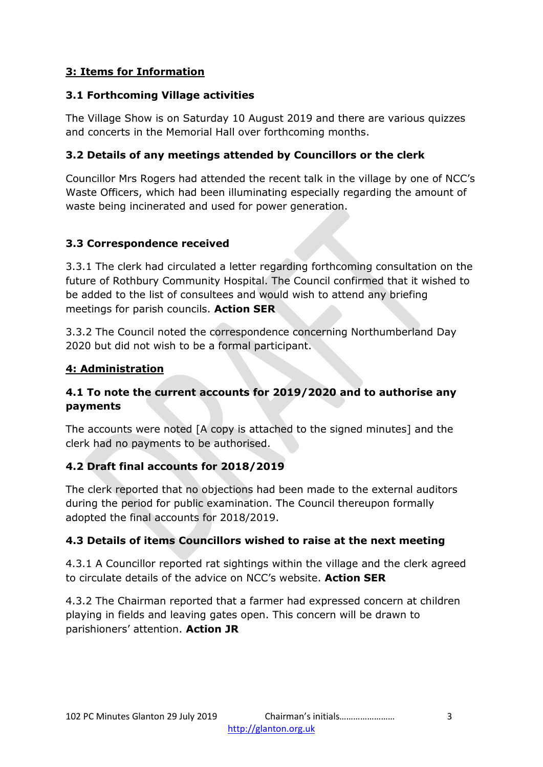### **3: Items for Information**

#### **3.1 Forthcoming Village activities**

The Village Show is on Saturday 10 August 2019 and there are various quizzes and concerts in the Memorial Hall over forthcoming months.

### **3.2 Details of any meetings attended by Councillors or the clerk**

Councillor Mrs Rogers had attended the recent talk in the village by one of NCC's Waste Officers, which had been illuminating especially regarding the amount of waste being incinerated and used for power generation.

### **3.3 Correspondence received**

3.3.1 The clerk had circulated a letter regarding forthcoming consultation on the future of Rothbury Community Hospital. The Council confirmed that it wished to be added to the list of consultees and would wish to attend any briefing meetings for parish councils. **Action SER**

3.3.2 The Council noted the correspondence concerning Northumberland Day 2020 but did not wish to be a formal participant.

### **4: Administration**

### **4.1 To note the current accounts for 2019/2020 and to authorise any payments**

The accounts were noted [A copy is attached to the signed minutes] and the clerk had no payments to be authorised.

# **4.2 Draft final accounts for 2018/2019**

The clerk reported that no objections had been made to the external auditors during the period for public examination. The Council thereupon formally adopted the final accounts for 2018/2019.

# **4.3 Details of items Councillors wished to raise at the next meeting**

4.3.1 A Councillor reported rat sightings within the village and the clerk agreed to circulate details of the advice on NCC's website. **Action SER**

4.3.2 The Chairman reported that a farmer had expressed concern at children playing in fields and leaving gates open. This concern will be drawn to parishioners' attention. **Action JR**